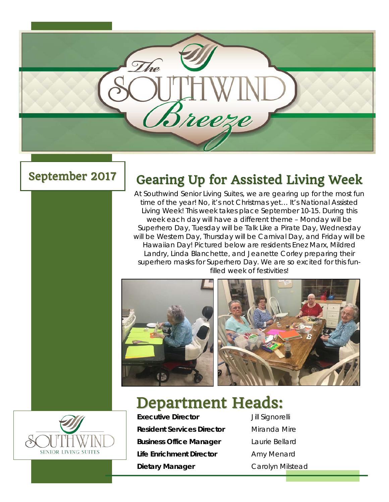

## September 2017

## Gearing Up for Assisted Living Week

At Southwind Senior Living Suites, we are gearing up for the most fun time of the year! No, it's not Christmas yet… It's National Assisted Living Week! This week takes place September 10-15. During this week each day will have a different theme – Monday will be Superhero Day, Tuesday will be Talk Like a Pirate Day, Wednesday will be Western Day, Thursday will be Carnival Day, and Friday will be Hawaiian Day! Pictured below are residents Enez Marx, Mildred Landry, Linda Blanchette, and Jeanette Corley preparing their superhero masks for Superhero Day. We are so excited for this funfilled week of festivities!





# Department Heads:



**Executive Director** Jill Signorelli **Resident Services Director** Miranda Mire **Business Office Manager** Laurie Bellard **Life Enrichment Director** Amy Menard **Dietary Manager** Carolyn Milstead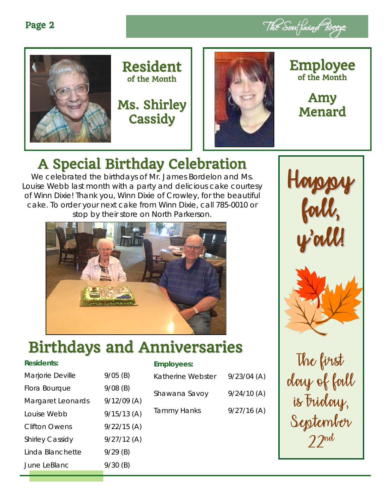







### Employee of the Month

Amy Menard

# A Special Birthday Celebration

We celebrated the birthdays of Mr. James Bordelon and Ms. Louise Webb last month with a party and delicious cake courtesy of Winn Dixie! Thank you, Winn Dixie of Crowley, for the beautiful cake. To order your next cake from Winn Dixie, call 785-0010 or stop by their store on North Parkerson.



# Birthdays and Anniversaries

#### **Residents:**

| Marjorie Deville       | $9/05$ (B)    |
|------------------------|---------------|
|                        |               |
| Flora Bourque          | $9/08$ (B)    |
| Margaret Leonards      | $9/12/09$ (A) |
| Louise Webb            | $9/15/13$ (A) |
| Clifton Owens          | $9/22/15$ (A) |
| <b>Shirley Cassidy</b> | $9/27/12$ (A) |
| Linda Blanchette       | $9/29$ (B)    |
| June LeBlanc           | $9/30$ (B)    |
|                        |               |

#### **Employees:**

| Katherine Webster  | $9/23/04$ (A) |
|--------------------|---------------|
| Shawana Savoy      | 9/24/10(A)    |
| <b>Tammy Hanks</b> | $9/27/16$ (A) |
|                    |               |
|                    |               |



The first day of fall is Friday, September 22nd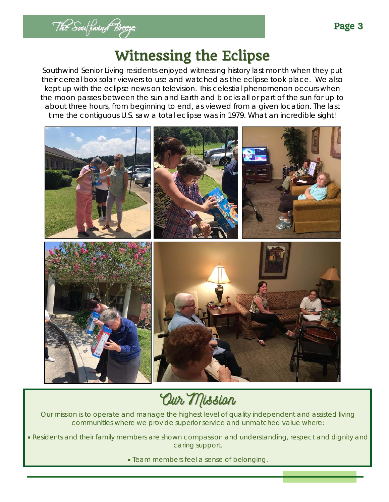

## Witnessing the Eclipse

Southwind Senior Living residents enjoyed witnessing history last month when they put their cereal box solar viewers to use and watched as the eclipse took place. We also kept up with the eclipse news on television. This celestial phenomenon occurs when the moon passes between the sun and Earth and blocks all or part of the sun for up to about three hours, from beginning to end, as viewed from a given location. The last time the contiguous U.S. saw a total eclipse was in 1979. What an incredible sight!



Our Mission

Our mission is to operate and manage the highest level of quality independent and assisted living communities where we provide superior service and unmatched value where:

• Residents and their family members are shown compassion and understanding, respect and dignity and caring support.

• Team members feel a sense of belonging.